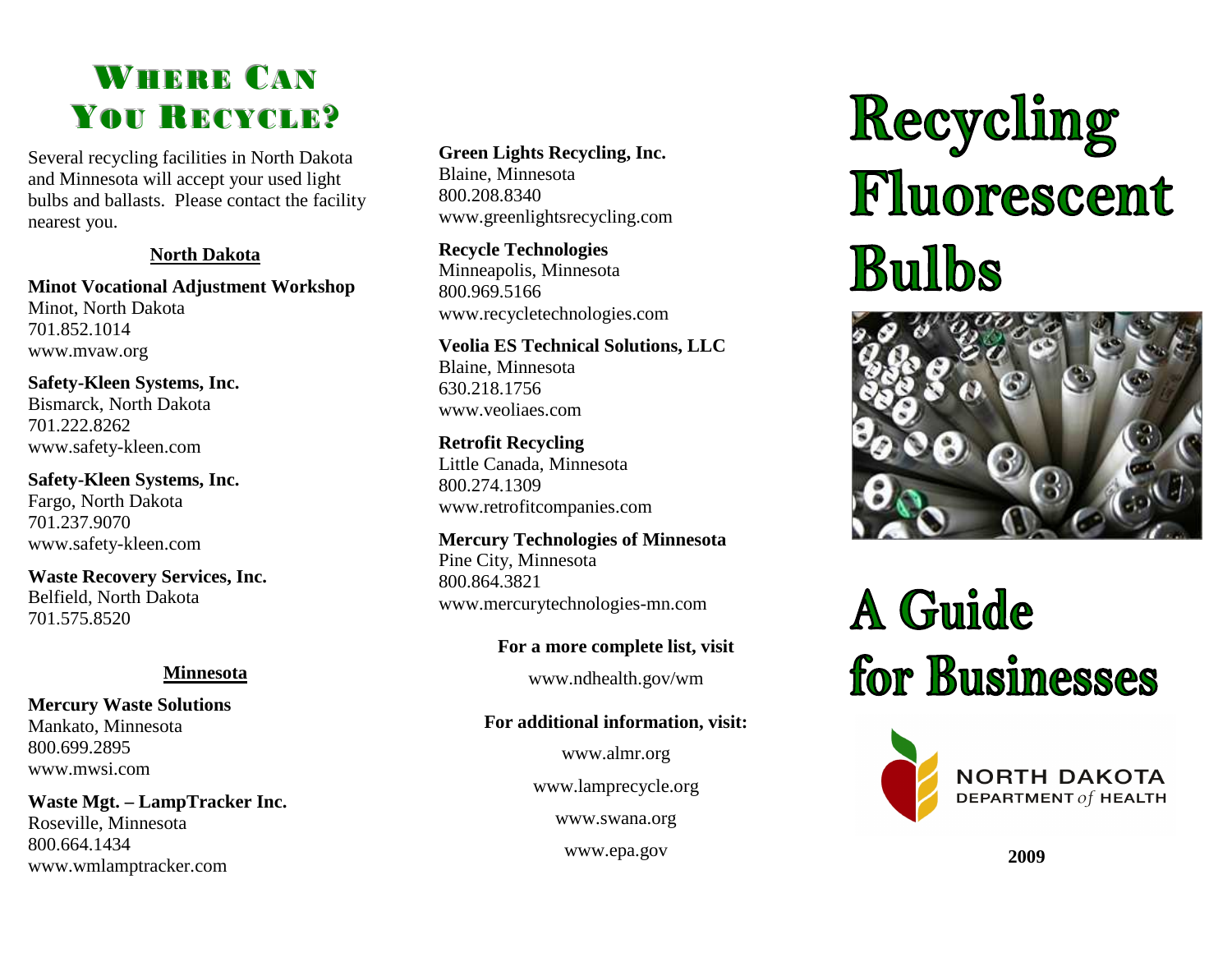### WHERE CAN YOU RECYCLE?

 Several recycling facilities in North Dakota and Minnesota will accept your used light bulbs and ballasts. Please contact the facility nearest you.

#### **North Dakota**

**Minot Vocational Adjustment Workshop** Minot, North Dakota 701.852.1014 www.mvaw.org

**Safety-Kleen Systems, Inc.** Bismarck, North Dakota 701.222.8262 www.safety-kleen.com

**Safety-Kleen Systems, Inc.** Fargo, North Dakota 701.237.9070 www.safety-kleen.com

**Waste Recovery Services, Inc.** Belfield, North Dakota 701.575.8520

#### **Minnesota**

**Mercury Waste Solutions** Mankato, Minnesota 800.699.2895 www.mwsi.com

**Waste Mgt. – LampTracker Inc.** Roseville, Minnesota 800.664.1434 www.wmlamptracker.com

#### **Green Lights Recycling, Inc.**

Blaine, Minnesota 800.208.8340 www.greenlightsrecycling.com

**Recycle Technologies**  Minneapolis, Minnesota 800.969.5166 www.recycletechnologies.com

**Veolia ES Technical Solutions, LLC** Blaine, Minnesota 630.218.1756 www.veoliaes.com

**Retrofit Recycling** Little Canada, Minnesota 800.274.1309 www.retrofitcompanies.com

**Mercury Technologies of Minnesota** Pine City, Minnesota 800.864.3821 www.mercurytechnologies-mn.com

**For a more complete list, visit** 

www.ndhealth.gov/wm

### **For additional information, visit:**

www.almr.org

www.lamprecycle.org

www.swana.org

www.epa.gov **2009** 

Recycling<br>Fluorescent **Bulbs** 



# A Guide for Businesses